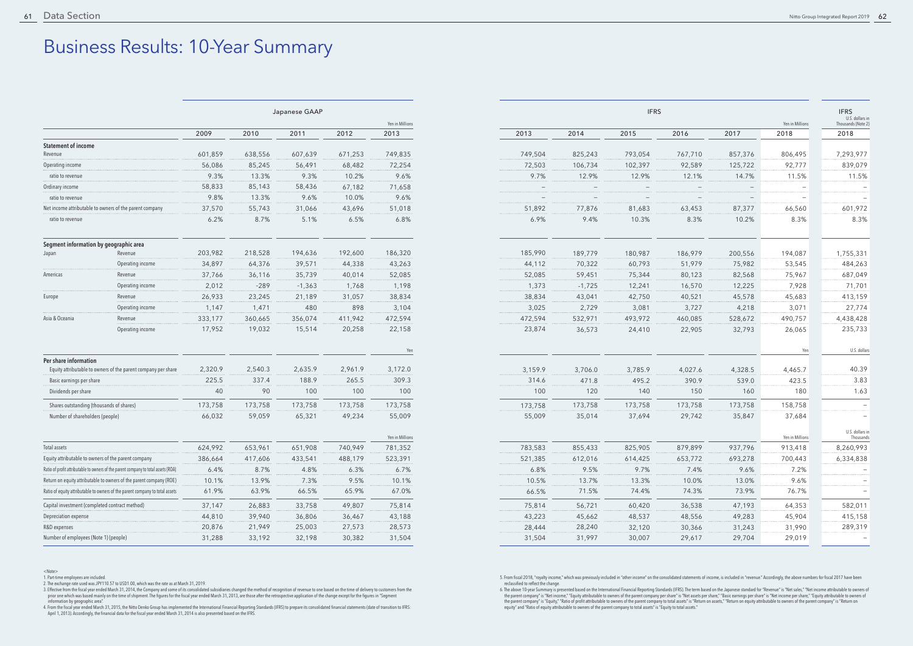## Business Results: 10-Year Summary

|                                                |                                                                                    | Japanese GAAP |         |          | <b>IFRS</b> |                 |                          |                          |                          | <b>IFRS</b><br>U.S              |                                 |                          |                   |
|------------------------------------------------|------------------------------------------------------------------------------------|---------------|---------|----------|-------------|-----------------|--------------------------|--------------------------|--------------------------|---------------------------------|---------------------------------|--------------------------|-------------------|
|                                                |                                                                                    |               |         |          |             | Yen in Millions |                          |                          |                          |                                 |                                 | Yen in Millions          | Thousan           |
|                                                |                                                                                    | 2009          | 2010    | 2011     | 2012        | 2013            | 2013                     | 2014                     | 2015                     | 2016                            | 2017                            | 2018                     | 2018              |
| <b>Statement of income</b>                     |                                                                                    |               |         |          |             |                 |                          |                          |                          |                                 |                                 |                          |                   |
| Revenue                                        |                                                                                    | 601,859       | 638,556 | 607,639  | 671,253     | 749,835         | 749,504                  | 825,243                  | 793,054                  | 767,710                         | 857,376                         | 806,495                  | 7,29              |
| Operating income                               |                                                                                    | 56,086        | 85,245  | 56,491   | 68,482      | 72,254          | 72,503                   | 106,734                  | 102,397                  | 92,589                          | 125,722                         | 92,777                   | 83                |
| ratio to revenue                               |                                                                                    | 9.3%          | 13.3%   | 9.3%     | 10.2%       | 9.6%            | 9.7%                     | 12.9%                    | 12.9%                    | 12.1%                           | 14.7%                           | 11.5%                    | $\mathbf{1}$      |
| Ordinary income                                |                                                                                    | 58,833        | 85,143  | 58,436   | 67,182      | 71,658          | $\overline{\phantom{m}}$ | $\overline{\phantom{a}}$ | $\overline{\phantom{m}}$ | $\hspace{0.1mm}-\hspace{0.1mm}$ | $-$                             | $\overline{\phantom{a}}$ |                   |
| ratio to revenue                               |                                                                                    | 9.8%          | 13.3%   | 9.6%     | 10.0%       | 9.6%            | $\overline{\phantom{m}}$ | $\overline{\phantom{m}}$ | $\overline{\phantom{m}}$ |                                 | $\hspace{0.1mm}-\hspace{0.1mm}$ | $\overline{\phantom{m}}$ |                   |
|                                                | Net income attributable to owners of the parent company                            | 37,570        | 55,743  | 31,066   | 43,696      | 51,018          | 51,892                   | 77,876                   | 81,683                   | 63,453                          | 87,377                          | 66,560                   | 60 <sup>°</sup>   |
| ratio to revenue                               |                                                                                    | 6.2%          | 8.7%    | 5.1%     | 6.5%        | 6.8%            | 6.9%                     | 9.4%                     | 10.3%                    | 8.3%                            | 10.2%                           | 8.3%                     |                   |
| Segment information by geographic area         |                                                                                    |               |         |          |             |                 |                          |                          |                          |                                 |                                 |                          |                   |
| Japan                                          | Revenue                                                                            | 203,982       | 218,528 | 194,636  | 192,600     | 186,320         | 185,990                  | 189,779                  | 180,987                  | 186,979                         | 200,556                         | 194,087                  | 1,75!             |
|                                                | Operating income                                                                   | 34,897        | 64,376  | 39,571   | 44,338      | 43,263          | 44,112                   | 70,322                   | 60,793                   | 51,979                          | 75,982                          | 53,545                   | 484               |
| Americas                                       | Revenue                                                                            | 37,766        | 36,116  | 35,739   | 40,014      | 52,085          | 52,085                   | 59,451                   | 75,344                   | 80,123                          | 82,568                          | 75,967                   | 68                |
|                                                | Operating income                                                                   | 2,012         | $-289$  | $-1,363$ | 1,768       | 1,198           | 1,373                    | $-1,725$                 | 12,241                   | 16,570                          | 12,225                          | 7,928                    | 7 <sup>1</sup>    |
| Europe                                         | Revenue                                                                            | 26,933        | 23,245  | 21,189   | 31,057      | 38,834          | 38,834                   | 43,041                   | 42,750                   | 40,521                          | 45,578                          | 45,683                   | 41.               |
|                                                | Operating income                                                                   | 1,147         | 1,471   | 480      | 898         | 3,104           | 3,025                    | 2,729                    | 3,081                    | 3,727                           | 4,218                           | 3,071                    | $2^{\frac{1}{2}}$ |
| Asia & Oceania                                 | Revenue                                                                            | 333,177       | 360,665 | 356,074  | 411,942     | 472,594         | 472,594                  | 532,971                  | 493,972                  | 460,085                         | 528,672                         | 490,757                  | 4,438             |
|                                                | Operating income                                                                   | 17,952        | 19,032  | 15,514   | 20,258      | 22,158          | 23,874                   | 36,573                   | 24,410                   | 22,905                          | 32,793                          | 26,065                   | 23                |
|                                                |                                                                                    |               |         |          |             | Yen             |                          |                          |                          |                                 |                                 | Yen                      |                   |
| Per share information                          | Equity attributable to owners of the parent company per share                      |               |         |          |             |                 |                          |                          |                          |                                 |                                 |                          |                   |
|                                                |                                                                                    | 2,320.9       | 2,540.3 | 2,635.9  | 2,961.9     | 3,172.0         | 3,159.9                  | 3,706.0                  | 3,785.9                  | 4,027.6                         | 4,328.5                         | 4,465.7                  |                   |
| Basic earnings per share                       |                                                                                    | 225.5         | 337.4   | 188.9    | 265.5       | 309.3           | 314.6                    | 471.8                    | 495.2                    | 390.9                           | 539.0                           | 423.5                    |                   |
| Dividends per share                            |                                                                                    | 40            | 90      | 100      | 100         | 100             | 100                      | 120                      | 140                      | 150                             | 160                             | 180                      |                   |
| Shares outstanding (thousands of shares)       |                                                                                    | 173,758       | 173,758 | 173,758  | 173,758     | 173,758         | 173,758                  | 173,758                  | 173,758                  | 173,758                         | 173,758                         | 158,758                  |                   |
| Number of shareholders (people)                |                                                                                    | 66,032        | 59,059  | 65,321   | 49,234      | 55,009          | 55,009                   | 35,014                   | 37,694                   | 29,742                          | 35,847                          | 37,684                   |                   |
|                                                |                                                                                    |               |         |          |             | Yen in Millions |                          |                          |                          |                                 |                                 | Yen in Millions          | U.S               |
| Total assets                                   |                                                                                    | 624,992       | 653,961 | 651,908  | 740,949     | 781,352         | 783,583                  | 855,433                  | 825,905                  | 879,899                         | 937,796                         | 913,418                  | 8,260             |
|                                                | Equity attributable to owners of the parent company                                | 386,664       | 417,606 | 433,541  | 488,179     | 523,391         | 521,385                  | 612,016                  | 614,425                  | 653,772                         | 693,278                         | 700,443                  | 6,334             |
|                                                | Ratio of profit attributable to owners of the parent company to total assets (ROA) | 6.4%          | 8.7%    | 4.8%     | 6.3%        | 6.7%            | 6.8%                     | 9.5%                     | 9.7%                     | 7.4%                            | 9.6%                            | 7.2%                     |                   |
|                                                | Return on equity attributable to owners of the parent company (ROE)                | 10.1%         | 13.9%   | 7.3%     | 9.5%        | 10.1%           | 10.5%                    | 13.7%                    | 13.3%                    | 10.0%                           | 13.0%                           | 9.6%                     |                   |
|                                                | Ratio of equity attributable to owners of the parent company to total assets       | 61.9%         | 63.9%   | 66.5%    | 65.9%       | 67.0%           | 66.5%                    | 71.5%                    | 74.4%                    | 74.3%                           | 73.9%                           | 76.7%                    |                   |
| Capital investment (completed contract method) |                                                                                    | 37,147        | 26,883  | 33,758   | 49,807      | 75,814          | 75,814                   | 56,721                   | 60,420                   | 36,538                          | 47,193                          | 64,353                   | 582               |
| Depreciation expense                           |                                                                                    | 44,810        | 39,940  | 36,806   | 36,467      | 43,188          | 43,223                   | 45,662                   | 48,537                   | 48,556                          | 49,283                          | 45,904                   | 41!               |
| R&D expenses                                   |                                                                                    | 20,876        | 21,949  | 25,003   | 27,573      | 28,573          | 28,444                   | 28,240                   | 32,120                   | 30,366                          | 31,243                          | 31,990                   | 28 <sup>o</sup>   |
| Number of employees (Note 1) (people)          |                                                                                    | 31,288        | 33,192  | 32,198   | 30,382      | 31,504          | 31,504                   | 31,997                   | 30,007                   | 29,617                          | 29,704                          | 29,019                   |                   |

<sup>&</sup>lt;Note>

3. Effective from the fiscal year ended March 31, 2014, the Company and some of its consolidated subsidiaries changed the method of recognition of revenue to one based on the time of delivery to customers from the prior one which was based mainly on the time of shipment. The figures for the fiscal year ended March 31, 2013, are those after the retrospective application of the change except for the figures in "Segment

information by geographic area".<br>4. From the fiscal year ended March 31, 2015, the Nitto Denko Group has implemented the International Financial Reporting Standards (IFRS) to prepare its consolidated financial statements (

5. From fiscal 2018, "royalty income," which was previously included in "other income" on the consolidated statements of income, is included in "revenue." Accordingly, the above numbers for fiscal 2017 have been<br>reclassifi

6. The above 10-year Summary is presented based on the International Financial Reporting Standards (IFRS). The term based on the Japanese standard for "Revenue" is "Net sales," "Net income attributable to owners of the parent company" is "Net income," "Equity attributable to owners of the parent company per share" is "Net assets per share," "Basic earnings per share" is "Net income per share," "Equity attributable to owners of the pa

|         |         | Yen in Millions | <b>IFRS</b><br>U.S. dollars in<br>Thousands (Note 2) |
|---------|---------|-----------------|------------------------------------------------------|
| 2016    | 2017    | 2018            | 2018                                                 |
|         |         |                 |                                                      |
| 767,710 | 857,376 | 806,495         | 7,293,977                                            |
| 92,589  | 125,722 | 92,777          | 839,079                                              |
| 12.1%   | 14.7%   | 11.5%           | 11.5%                                                |
|         |         |                 |                                                      |
| 63,453  | 87,377  | 66,560          | 601,972                                              |
| 8.3%    | 10.2%   | 8.3%            | 8.3%                                                 |
| 186,979 | 200,556 | 194,087         | 1,755,331                                            |
| 51,979  | 75,982  | 53,545          | 484,263                                              |
| 80,123  | 82,568  | 75,967          | 687,049                                              |
| 16,570  | 12,225  | 7,928           | 71,701                                               |
| 40,521  | 45,578  | 45,683          | 413,159                                              |
| 3,727   | 4,218   | 3,071           | 27,774                                               |
| 460,085 | 528,672 | 490,757         | 4,438,428                                            |
| 22,905  | 32,793  | 26,065          | 235,733                                              |
|         |         | Yen             | U.S. dollars                                         |
| 4,027.6 | 4,328.5 | 4,465.7         | 40.39                                                |
| 390.9   | 539.0   | 423.5           | 3.83                                                 |
| 150     | 160     | 180             | 1.63                                                 |
| 173,758 | 173,758 | 158,758         |                                                      |
| 29,742  | 35,847  | 37,684          |                                                      |
|         |         | Yen in Millions | U.S. dollars in<br>Thousands                         |
| 879,899 | 937,796 | 913,418         | 8,260,993                                            |
| 653,772 | 693,278 | 700,443         | 6,334,838                                            |
| 7.4%    | 9.6%    | 7.2%            |                                                      |
| 10.0%   | 13.0%   | 9.6%            |                                                      |
| 74.3%   | 73.9%   | 76.7%           |                                                      |
| 36,538  | 47,193  | 64,353          | 582,011                                              |
| 48,556  | 49,283  | 45,904          | 415,158                                              |
| 30,366  | 31,243  | 31,990          | 289,319                                              |
| 29,617  | 29,704  | 29,019          |                                                      |

1. Part-time employees are included. 2. The exchange rate used was JPY110.57 to USD1.00, which was the rate as at March 31, 2019.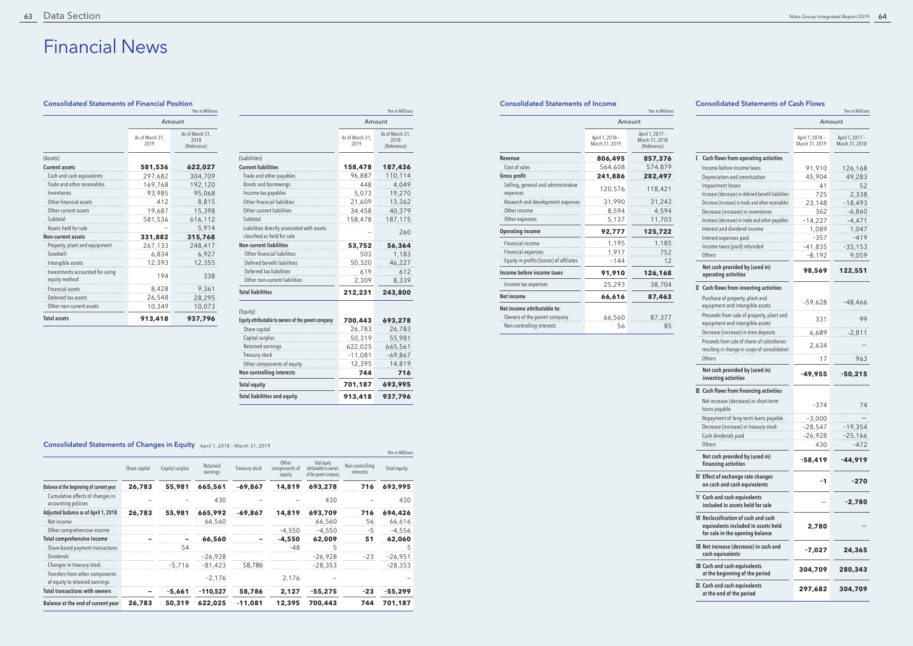## Consolidated Statements of Financial Position

# Financial News

#### Consolidated Statements of Income

|                                                                |                                   | Yen in Millions                                  |                                                    |                                   | Yen in Millior                    |
|----------------------------------------------------------------|-----------------------------------|--------------------------------------------------|----------------------------------------------------|-----------------------------------|-----------------------------------|
|                                                                | Amount                            |                                                  |                                                    |                                   | Amount                            |
|                                                                | April 1, 2018 -<br>March 31, 2019 | April 1, 2017 -<br>March 31, 2018<br>(Reference) |                                                    | April 1, 2018 -<br>March 31, 2019 | April 1, 2017 -<br>March 31, 2018 |
| Revenue                                                        | 806,495                           | 857,376                                          | I Cash flows from operating activities             |                                   |                                   |
| Cost of sales                                                  | 564,608                           | 574,879                                          | Income before income taxes                         | 91,910                            | 126,168                           |
| <b>Gross profit</b>                                            | 241,886                           | 282,497                                          | Depreciation and amortization                      | 45,904                            | 49,283                            |
| Selling, general and administrative                            | 120,576                           | 118,421                                          | Impairment losses                                  | 41                                | 52                                |
| expenses                                                       |                                   |                                                  | Increase (decrease) in defined benefit liabilities | 725                               | 2.338                             |
| Research and development expenses                              | 31,990                            | 31,243                                           | Decrease (increase) in trade and other receivables | 23,148                            | $-18,493$                         |
| Other income                                                   | 8,594                             | 4,594                                            | Decrease (increase) in inventories                 | 362                               | $-6,860$                          |
| Other expenses                                                 | 5,137                             | 11,703                                           | Increase (decrease) in trade and other payables    | $-14,227$                         | $-4,471$                          |
| <b>Operating income</b>                                        | 92,777                            | 125,722                                          | Interest and dividend income                       | 1,089                             | 1,047                             |
| Financial income                                               |                                   | 1.185                                            | Interest expenses paid                             | $-357$                            | $-419$                            |
|                                                                | 1,195                             |                                                  | Income taxes (paid) refunded                       | $-41,835$                         | $-35,153$                         |
| Financial expenses<br>Equity in profits (losses) of affiliates | 1,917<br>$-144$                   | 752<br>12                                        | Others                                             | -8,192                            | 9,059                             |
|                                                                |                                   |                                                  | Net cash provided by (used in)                     |                                   |                                   |
| Income before income taxes                                     | 91,910                            | 126,168                                          | operating activities                               | 98,569                            | 122,551                           |
| Income tax expenses                                            | 25,293                            | 38,704                                           | II Cash flows from investing activities            |                                   |                                   |
| Net income                                                     | 66,616                            | 87,463                                           | Purchase of property, plant and                    | $-59.628$                         | $-48.466$                         |
| Net income attributable to:                                    |                                   |                                                  | equipment and intangible assets                    |                                   |                                   |
| Owners of the parent company                                   | 66,560                            | 87,377                                           | Proceeds from sale of property, plant and          | 331                               | 99                                |
| Non-controlling interests                                      | 56                                | 85                                               | equipment and intangible assets                    |                                   |                                   |
|                                                                |                                   |                                                  | Decrease (increase) in time deposits               | 6 689                             | $-2811$                           |

### Consolidated Statements of Cash Flows

|                                                  | Yen in Millions         |                                        |  |  |  |
|--------------------------------------------------|-------------------------|----------------------------------------|--|--|--|
|                                                  | Amount                  |                                        |  |  |  |
|                                                  | As of March 31.<br>2019 | As of March 31,<br>2018<br>(Reference) |  |  |  |
| (Assets)                                         |                         |                                        |  |  |  |
| <b>Current assets</b>                            | 581,536                 | 622,027                                |  |  |  |
| Cash and cash equivalents                        | 297,682                 | 304,709                                |  |  |  |
| Trade and other receivables                      | 169,768                 | 192,120                                |  |  |  |
| Inventories                                      | 93,985                  | 95,068                                 |  |  |  |
| Other financial assets                           | 412                     | 8,815                                  |  |  |  |
| Other current assets                             | 19,687                  | 15,398                                 |  |  |  |
| Subtotal                                         | 581,536                 | 616,112                                |  |  |  |
| Assets held for sale                             |                         | 5,914                                  |  |  |  |
| <b>Non-current assets</b>                        | 331,882                 | 315,768                                |  |  |  |
| Property, plant and equipment                    | 267,133                 | 248,417                                |  |  |  |
| Goodwill                                         | 6,834                   | 6,927                                  |  |  |  |
| Intangible assets                                | 12,393                  | 12,355                                 |  |  |  |
| Investments accounted for using<br>equity method | 194                     | 338                                    |  |  |  |
| <b>Financial assets</b>                          | 8,428                   | 9,361                                  |  |  |  |
| Deferred tax assets                              | 26,548                  | 28,295                                 |  |  |  |
| Other non-current assets                         | 10,349                  | 10,073                                 |  |  |  |
| <b>Total assets</b>                              | 913,418                 | 937,796                                |  |  |  |

## Consolidated Statements of Changes in Equity April 1, 2018 – March 31, 2019

|                                                                            |                         | Yen in Millions                        |                                          |                                   | Yen in Millions                                  |                                                                    |
|----------------------------------------------------------------------------|-------------------------|----------------------------------------|------------------------------------------|-----------------------------------|--------------------------------------------------|--------------------------------------------------------------------|
|                                                                            | Amount                  |                                        |                                          | Amount                            |                                                  |                                                                    |
|                                                                            | As of March 31,<br>2019 | As of March 31,<br>2018<br>(Reference) |                                          | April 1, 2018 -<br>March 31, 2019 | April 1, 2017 -<br>March 31, 2018<br>(Reference) |                                                                    |
| (Liabilities)                                                              |                         |                                        | Revenue                                  | 806,495                           | 857,376                                          | I Cash flows from operating activities                             |
| <b>Current liabilities</b>                                                 | 158,478                 | 187,436                                | Cost of sales                            | 564,608                           | 574,879                                          | Income before income taxes                                         |
| Trade and other payables                                                   | 96,887                  | 110.114                                | Gross profit                             | 241,886                           | 282,497                                          | Depreciation and amortization                                      |
| Bonds and borrowings                                                       | 448                     | 4,049                                  | Selling, general and administrative      | 120,576                           | 118,421                                          | Impairment losses                                                  |
| Income tax payables                                                        | 5,073                   | 19,270                                 | expenses                                 |                                   |                                                  | Increase (decrease) in defined benefit liabili                     |
| Other financial liabilities                                                | 21,609                  | 13,362                                 | Research and development expenses        | 31,990                            | 31,243                                           | Decrease (increase) in trade and other receival                    |
| Other current liabilities                                                  | 34,458                  | 40,379                                 | Other income                             | 8,594                             | 4,594                                            | Decrease (increase) in inventories                                 |
| Subtotal                                                                   | 158,478                 | 187,175                                | Other expenses                           | 5,137                             | 11,703                                           | Increase (decrease) in trade and other payab                       |
| Liabilities directly associated with assets<br>classified as held for sale |                         | 260                                    | <b>Operating income</b>                  | 92,777                            | 125,722                                          | Interest and dividend income<br>Interest expenses paid             |
| <b>Non-current liabilities</b>                                             | 53,752                  | 56,364                                 | Financial income                         | 1,195                             | 1,185                                            | Income taxes (paid) refunded                                       |
| Other financial liabilities                                                | 503                     | 1,183                                  | <b>Financial expenses</b>                | 1.917                             | 752                                              | Others                                                             |
| Defined benefit liabilities                                                | 50,320                  | 46,227                                 | Equity in profits (losses) of affiliates | $-144$                            | 12                                               |                                                                    |
| Deferred tax liabilities                                                   | 619                     | 612                                    | Income before income taxes               | 91,910                            | 126,168                                          | Net cash provided by (used in)<br>operating activities             |
| Other non-current liabilities                                              | 2,309                   | 8,339                                  | Income tax expenses                      | 25,293                            | 38,704                                           |                                                                    |
| <b>Total liabilities</b>                                                   | 212,231                 | 243,800                                | <b>Net income</b>                        | 66,616                            | 87,463                                           | II Cash flows from investing activities                            |
|                                                                            |                         |                                        | Net income attributable to:              |                                   |                                                  | Purchase of property, plant and<br>equipment and intangible assets |
| (Equity)                                                                   |                         |                                        | Owners of the parent company             | 66,560                            | 87,377                                           | Proceeds from sale of property, plant a                            |
| Equity attributable to owners of the parent company                        | 700,443                 | 693,278                                | Non-controlling interests                | 56                                | 85                                               | equipment and intangible assets                                    |
| Share capital                                                              | 26,783                  | 26,783                                 |                                          |                                   |                                                  | Decrease (increase) in time deposits                               |
| Capital surplus                                                            | 50,319                  | 55,981                                 |                                          |                                   |                                                  | Proceeds from sale of shares of subsidiari                         |
| Retained earnings                                                          | 622,025                 | 665,561                                |                                          |                                   |                                                  | resulting in change in scope of consolidat                         |
| Treasury stock                                                             | $-11,081$               | $-69,867$                              |                                          |                                   |                                                  | Others                                                             |
| Other components of equity                                                 | 12,395                  | 14,819                                 |                                          |                                   |                                                  | Net cash provided by (used in)                                     |
| Non-controlling interests                                                  | 744                     | 716                                    |                                          |                                   |                                                  | investing activities                                               |
| <b>Total equity</b>                                                        | 701,187                 | 693,995                                |                                          |                                   |                                                  | Ⅲ Cash flows from financing activities                             |
| <b>Total liabilities and equity</b>                                        | 913,418                 | 937,796                                |                                          |                                   |                                                  | Net increase (decrease) in short-term                              |

|                                                                   |               |                 |                      |                |                                  |                                                                 |                              | ICII III MIIIIUI2 |
|-------------------------------------------------------------------|---------------|-----------------|----------------------|----------------|----------------------------------|-----------------------------------------------------------------|------------------------------|-------------------|
|                                                                   | Share capital | Capital surplus | Retained<br>earnings | Treasury stock | Other<br>components of<br>equity | Total equity<br>attributable to owners<br>of the parent company | Non-controlling<br>interests | Total equity      |
| Balance at the beginning of current year                          | 26,783        | 55,981          | 665,561              | $-69.867$      | 14,819                           | 693,278                                                         | 716                          | 693,995           |
| Cumulative effects of changes in<br>accounting policies           |               |                 | 430                  |                |                                  | 430                                                             |                              | 430               |
| Adjusted balance as of April 1, 2018                              | 26,783        | 55,981          | 665,992              | -69,867        | 14,819                           | 693,709                                                         | 716                          | 694,426           |
| Net income                                                        |               |                 | 66,560               |                |                                  | 66,560                                                          | 56                           | 66,616            |
| Other comprehensive income                                        |               |                 |                      |                | $-4.550$                         | $-4,550$                                                        | $-5$                         | $-4,556$          |
| Total comprehensive income                                        |               |                 | 66,560               |                | $-4.550$                         | 62,009                                                          | 51                           | 62,060            |
| Share-based payment transactions                                  |               | 54              |                      |                | $-48$                            | 5                                                               |                              | 5                 |
| <b>Dividends</b>                                                  |               |                 | $-26,928$            |                |                                  | $-26,928$                                                       | $-23$                        | $-26,951$         |
| Changes in treasury stock                                         |               | -5.716          | $-81,423$            | 58,786         |                                  | $-28.353$                                                       |                              | $-28,353$         |
| Transfers from other components<br>of equity to retained earnings |               |                 | $-2,176$             |                | 2,176                            |                                                                 |                              |                   |
| <b>Total transactions with owners</b>                             |               | -5,661          | $-110,527$           | 58,786         | 2.127                            | $-55,275$                                                       | $-23$                        | -55,299           |
| Balance at the end of current year                                | 26,783        | 50,319          | 622,025              | $-11,081$      | 12,395                           | 700,443                                                         | 744                          | 701,187           |
|                                                                   |               |                 |                      |                |                                  |                                                                 |                              |                   |

|   |                                                                                                                | Yen in Millions                   |                                   |  |  |  |
|---|----------------------------------------------------------------------------------------------------------------|-----------------------------------|-----------------------------------|--|--|--|
|   |                                                                                                                |                                   | Amount                            |  |  |  |
|   |                                                                                                                | April 1, 2018 -<br>March 31, 2019 | April 1, 2017 -<br>March 31, 2018 |  |  |  |
| I | Cash flows from operating activities                                                                           |                                   |                                   |  |  |  |
|   | Income before income taxes                                                                                     | 91,910                            | 126,168                           |  |  |  |
|   | Depreciation and amortization                                                                                  | 45,904                            | 49,283                            |  |  |  |
|   | <b>Impairment losses</b>                                                                                       | 41                                | 52                                |  |  |  |
|   | Increase (decrease) in defined benefit liabilities                                                             | 725                               | 2,338                             |  |  |  |
|   | Decrease (increase) in trade and other receivables                                                             | 23,148                            | $-18,493$                         |  |  |  |
|   | Decrease (increase) in inventories<br>Increase (decrease) in trade and other payables                          | 362<br>-14,227                    | $-6,860$                          |  |  |  |
|   | Interest and dividend income                                                                                   | 1,089                             | $-4,471$<br>1,047                 |  |  |  |
|   | Interest expenses paid                                                                                         | -357                              | -419                              |  |  |  |
|   | Income taxes (paid) refunded                                                                                   | -41,835                           | $-35,153$                         |  |  |  |
|   | Others                                                                                                         | -8,192                            | 9,059                             |  |  |  |
|   | Net cash provided by (used in)<br>operating activities                                                         | 98,569                            | 122,551                           |  |  |  |
|   | II Cash flows from investing activities                                                                        |                                   |                                   |  |  |  |
|   | Purchase of property, plant and<br>equipment and intangible assets                                             | $-59,628$                         | -48,466                           |  |  |  |
|   | Proceeds from sale of property, plant and<br>equipment and intangible assets                                   | 331                               | 99                                |  |  |  |
|   | Decrease (increase) in time deposits                                                                           | 6,689                             | $-2,811$                          |  |  |  |
|   | Proceeds from sale of shares of subsidiaries<br>resulting in change in scope of consolidation                  | 2,634                             |                                   |  |  |  |
|   | Others                                                                                                         | 17                                | 963                               |  |  |  |
|   | Net cash provided by (used in)<br>investing activities                                                         | -49,955                           | $-50,215$                         |  |  |  |
|   | $\mathbb I$ Cash flows from financing activities                                                               |                                   |                                   |  |  |  |
|   | Net increase (decrease) in short-term<br>loans payable                                                         | -374                              | 74                                |  |  |  |
|   | Repayment of long-term loans payable                                                                           | $-3,000$                          |                                   |  |  |  |
|   | Decrease (increase) in treasury stock                                                                          | -28,547                           | $-19,354$                         |  |  |  |
|   | Cash dividends paid                                                                                            | $-26,928$                         | $-25,166$                         |  |  |  |
|   | Others                                                                                                         | 430                               | -472                              |  |  |  |
|   | Net cash provided by (used in)<br>financing activities                                                         | $-58,419$                         | -44,919                           |  |  |  |
|   | IV Effect of exchange rate changes<br>on cash and cash equivalents                                             | -1                                | $-270$                            |  |  |  |
|   | V Cash and cash equivalents<br>included in assets held for sale                                                |                                   | -2,780                            |  |  |  |
|   | VI Reclassification of cash and cash<br>equivalents included in assets held<br>for sale in the opening balance | 2,780                             |                                   |  |  |  |
|   | VII Net increase (decrease) in cash and<br>cash equivalents                                                    | $-7,027$                          | 24,365                            |  |  |  |
|   | VIII Cash and cash equivalents<br>at the beginning of the period                                               | 304,709                           | 280,343                           |  |  |  |
|   | IX Cash and cash equivalents<br>at the end of the period                                                       | 297,682                           | 304,709                           |  |  |  |

Yen in Millions